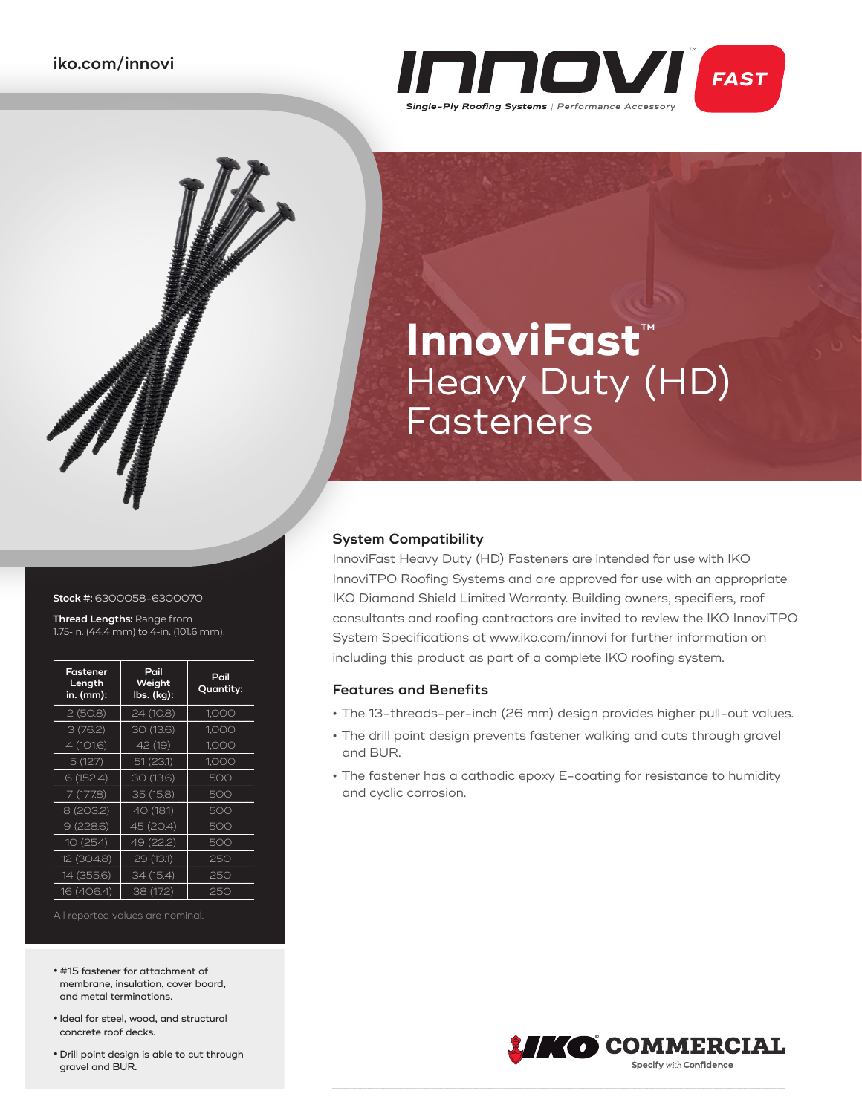

# **InnoviFast**™ Heavy Duty (HD) Fasteners

### **System Compatibility**

InnoviFast Heavy Duty (HD) Fasteners are intended for use with IKO InnoviTPO Roofing Systems and are approved for use with an appropriate IKO Diamond Shield Limited Warranty. Building owners, specifiers, roof consultants and roofing contractors are invited to review the IKO InnoviTPO System Specifications at www.iko.com/innovi for further information on including this product as part of a complete IKO roofing system.

### **Features and Benefits**

- **•** The 13-threads-per-inch (26 mm) design provides higher pull-out values.
- **•** The drill point design prevents fastener walking and cuts through gravel and BUR.
- **•** The fastener has a cathodic epoxy E-coating for resistance to humidity and cyclic corrosion.



#### **Stock #:** 6300058-6300070

 $\sqrt{\phantom{a}}$ 

**Thread Lengths:** Range from 1.75-in. (44.4 mm) to 4-in. (101.6 mm).

| Fastener<br>Length<br>in. (mm): | Pail<br>Weight<br>lbs. (kg): | Pail<br>Quantity: |
|---------------------------------|------------------------------|-------------------|
| 2(50.8)                         | 24 (10.8)                    | 1,000             |
| 3(76.2)                         | 30 (13.6)                    | 1,000             |
| 4 (101.6)                       | 42 (19)                      | 1.000             |
| 5(127)                          | 51(23.1)                     | 1,000             |
| 6 (152.4)                       | 30 (13.6)                    | 500               |
| 7(177.8)                        | 35 (15.8)                    | 500               |
| 8 (203.2)                       | 40 (18.1)                    | 500               |
| 9(228.6)                        | 45 (20.4)                    | 500               |
| 10(254)                         | 49 (22.2)                    | 500               |
| 12 (304.8)                      | 29 (13.1)                    | 250               |
| 14 (355.6)                      | 34 (15.4)                    | 250               |
| 16 (406.4)                      | 38 (17.2)                    | 250               |

All reported values are nominal.

- **•** #15 fastener for attachment of membrane, insulation, cover board, and metal terminations.
- **•** Ideal for steel, wood, and structural concrete roof decks.
- **•** Drill point design is able to cut through gravel and BUR.